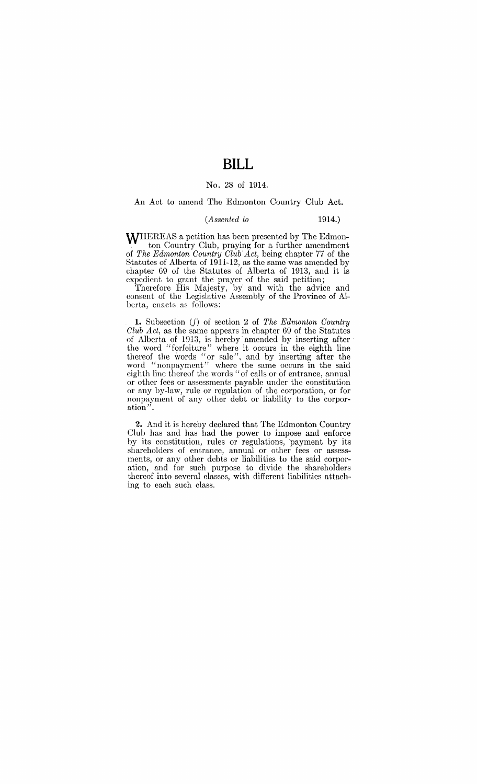## **BILL**

## No. 28 of 1914.

An Act to amend The Edmonton Country Club Act.

## *(Assented to* 1914.)

WHEREAS a petition has been presented by The Edmonton Country Club, praying for a further amendment of *The Edmonton Country Club Act,* being chapter 77 of the Statutes of Alberta of 1911-12, as the same was amended by chapter 69 of the Statutes of Alberta of 1913, and it is expedient to grant the prayer of the said petition;

Therefore His Majesty, by and with the advice and consent of the Legislative Assembly of the Province of Alberta, enacts as follows:

1. Subsection (f) of sedion 2 of *The Edmonton Country Club Act,* as the same appears in chapter 69 of the Statutes of Alberta of 1D13, is hereby' amended by inserting after' the word "forfeiture" where it occurs in the eighth line thereof the words "or sale". and by inserting after the word "nonpayment" where the same occurs in the said eighth line thereof the words "of calls or of entrance, annual or other fees or assessments payable under the constitution or any by-law, rule or regulation of the corporation, or for nonpayment of any other debt or liability to the corporation'

**2.** And it is hereby declared that The Edmonton Country Club has and has had the power to impose and enforce by its constitution, rules or regulations, payment by its shareholders of entrance, annual or other fees or assessments, or any other debts or liabilities to the said corporation, and for such purpose to divide the shareholders thereof into several classes, with different liabilities attaching to each such class.